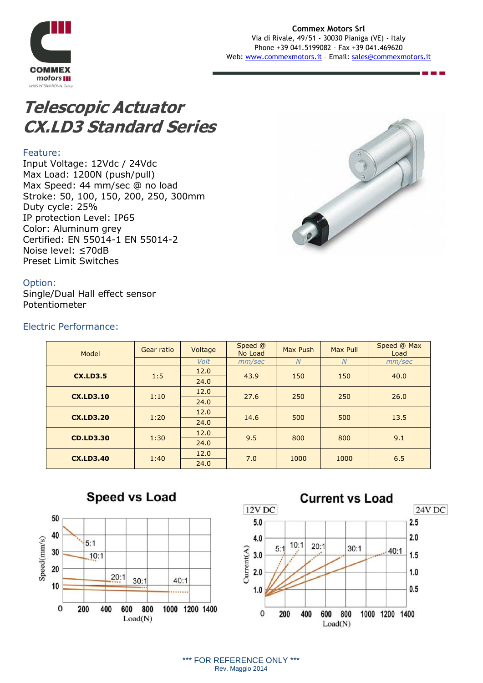

# **Telescopic Actuator CX.LD3 Standard Series**

### Feature:

Input Voltage: 12Vdc / 24Vdc Max Load: 1200N (push/pull) Max Speed: 44 mm/sec @ no load Stroke: 50, 100, 150, 200, 250, 300mm Duty cycle: 25% IP protection Level: IP65 Color: Aluminum grey Certified: EN 55014-1 EN 55014-2 Noise level: ≤70dB Preset Limit Switches



### Option:

Single/Dual Hall effect sensor Potentiometer

### Electric Performance:

| Model            | Gear ratio | Voltage     | Speed @<br>No Load | Max Push | Max Pull       | Speed @ Max<br>Load |
|------------------|------------|-------------|--------------------|----------|----------------|---------------------|
|                  |            | <b>Volt</b> | mm/sec             | N        | $\overline{N}$ | mm/sec              |
| <b>CX.LD3.5</b>  | 1:5        | 12.0        | 43.9               | 150      | 150            | 40.0                |
|                  |            | 24.0        |                    |          |                |                     |
| <b>CX.LD3.10</b> | 1:10       | 12.0        | 27.6               | 250      | 250            | 26.0                |
|                  |            | 24.0        |                    |          |                |                     |
| <b>CX.LD3.20</b> | 1:20       | 12.0        | 14.6               | 500      | 500            | 13.5                |
|                  |            | 24.0        |                    |          |                |                     |
| <b>CD.LD3.30</b> | 1:30       | 12.0        | 9.5                | 800      | 800            | 9.1                 |
|                  |            | 24.0        |                    |          |                |                     |
| <b>CX.LD3.40</b> | 1:40       | 12.0        | 7.0                | 1000     | 1000           | 6.5                 |
|                  |            | 24.0        |                    |          |                |                     |







\*\*\* FOR REFERENCE ONLY \*\*\* Rev. Maggio 2014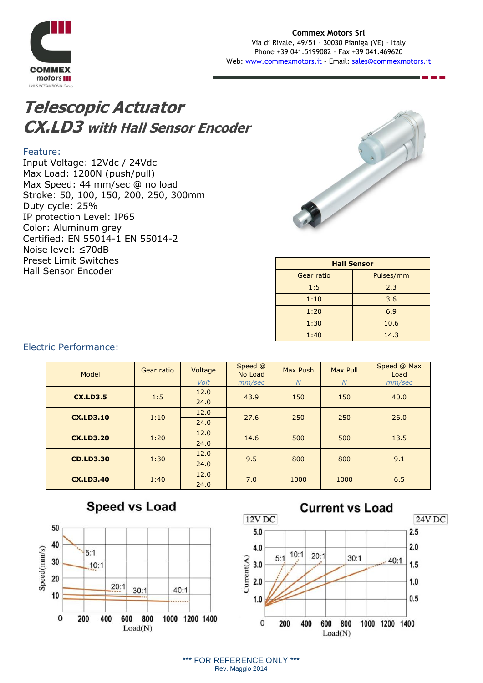

# **Telescopic Actuator CX.LD3 with Hall Sensor Encoder**

#### Feature:

Input Voltage: 12Vdc / 24Vdc Max Load: 1200N (push/pull) Max Speed: 44 mm/sec @ no load Stroke: 50, 100, 150, 200, 250, 300mm Duty cycle: 25% IP protection Level: IP65 Color: Aluminum grey Certified: EN 55014-1 EN 55014-2 Noise level: ≤70dB Preset Limit Switches Hall Sensor Encoder



| <b>Hall Sensor</b> |           |  |  |  |
|--------------------|-----------|--|--|--|
| Gear ratio         | Pulses/mm |  |  |  |
| 1:5                | 2.3       |  |  |  |
| 1:10               | 3.6       |  |  |  |
| 1:20               | 6.9       |  |  |  |
| 1:30               | 10.6      |  |  |  |
| 1:40               | 14.3      |  |  |  |
|                    |           |  |  |  |

## Electric Performance:

| Model            | Gear ratio | Voltage | Speed @<br>No Load | Max Push | Max Pull       | Speed @ Max<br>Load |
|------------------|------------|---------|--------------------|----------|----------------|---------------------|
|                  |            | Volt    | mm/sec             | N        | $\overline{N}$ | mm/sec              |
| <b>CX.LD3.5</b>  | 1:5        | 12.0    | 43.9               | 150      | 150            | 40.0                |
|                  |            | 24.0    |                    |          |                |                     |
| <b>CX.LD3.10</b> | 1:10       | 12.0    | 27.6               | 250      | 250            | 26.0                |
|                  |            | 24.0    |                    |          |                |                     |
| <b>CX.LD3.20</b> | 1:20       | 12.0    | 14.6               | 500      | 500            | 13.5                |
|                  |            | 24.0    |                    |          |                |                     |
| <b>CD.LD3.30</b> | 1:30       | 12.0    | 9.5                | 800      | 800            | 9.1                 |
|                  |            | 24.0    |                    |          |                |                     |
| <b>CX.LD3.40</b> | 1:40       | 12.0    | 7.0                | 1000     | 1000           | 6.5                 |
|                  |            | 24.0    |                    |          |                |                     |